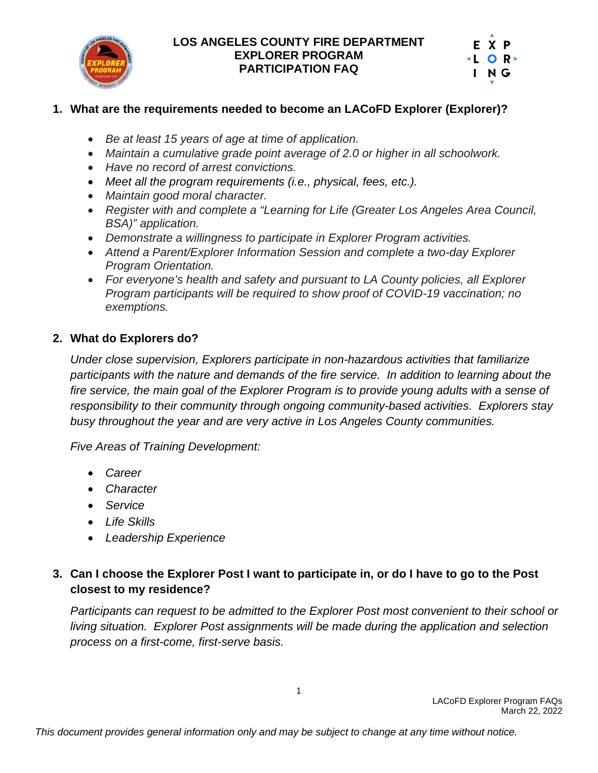

|  | E X P  |  |
|--|--------|--|
|  | KL OR≻ |  |
|  | ING    |  |
|  |        |  |

## **1. What are the requirements needed to become an LACoFD Explorer (Explorer)?**

- *Be at least 15 years of age at time of application.*
- *Maintain a cumulative grade point average of 2.0 or higher in all schoolwork.*
- *Have no record of arrest convictions.*
- *Meet all the program requirements (i.e., physical, fees, etc.).*
- *Maintain good moral character.*
- *Register with and complete a "Learning for Life (Greater Los Angeles Area Council, BSA)" application.*
- *Demonstrate a willingness to participate in Explorer Program activities.*
- *Attend a Parent/Explorer Information Session and complete a two-day Explorer Program Orientation.*
- *For everyone's health and safety and pursuant to LA County policies, all Explorer Program participants will be required to show proof of COVID-19 vaccination; no exemptions.*

## **2. What do Explorers do?**

*Under close supervision, Explorers participate in non-hazardous activities that familiarize*  participants with the nature and demands of the fire service. In addition to learning about the *fire service, the main goal of the Explorer Program is to provide young adults with a sense of responsibility to their community through ongoing community-based activities. Explorers stay busy throughout the year and are very active in Los Angeles County communities.*

*Five Areas of Training Development:*

- *Career*
- *Character*
- *Service*
- *Life Skills*
- *Leadership Experience*

# **3. Can I choose the Explorer Post I want to participate in, or do I have to go to the Post closest to my residence?**

*Participants can request to be admitted to the Explorer Post most convenient to their school or living situation. Explorer Post assignments will be made during the application and selection process on a first-come, first-serve basis.*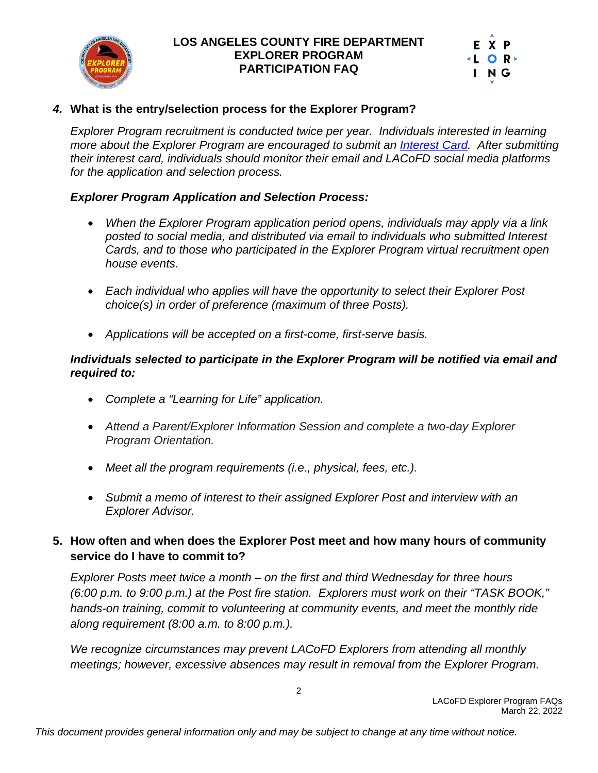

|        | EXP |  |
|--------|-----|--|
| KL OR≻ |     |  |
|        | ING |  |
|        |     |  |

## *4.* **What is the entry/selection process for the Explorer Program?**

*Explorer Program recruitment is conducted twice per year. Individuals interested in learning more about the Explorer Program are encouraged to submit an [Interest Card.](https://fire.lacounty.gov/explorer-program-interest-card/) After submitting their interest card, individuals should monitor their email and LACoFD social media platforms for the application and selection process.*

#### *Explorer Program Application and Selection Process:*

- *When the Explorer Program application period opens, individuals may apply via a link posted to social media, and distributed via email to individuals who submitted Interest Cards, and to those who participated in the Explorer Program virtual recruitment open house events.*
- *Each individual who applies will have the opportunity to select their Explorer Post choice(s) in order of preference (maximum of three Posts).*
- *Applications will be accepted on a first-come, first-serve basis.*

#### *Individuals selected to participate in the Explorer Program will be notified via email and required to:*

- *Complete a "Learning for Life" application.*
- *Attend a Parent/Explorer Information Session and complete a two-day Explorer Program Orientation.*
- *Meet all the program requirements (i.e., physical, fees, etc.).*
- *Submit a memo of interest to their assigned Explorer Post and interview with an Explorer Advisor.*

## **5. How often and when does the Explorer Post meet and how many hours of community service do I have to commit to?**

*Explorer Posts meet twice a month – on the first and third Wednesday for three hours (6:00 p.m. to 9:00 p.m.) at the Post fire station. Explorers must work on their "TASK BOOK," hands-on training, commit to volunteering at community events, and meet the monthly ride along requirement (8:00 a.m. to 8:00 p.m.).*

*We recognize circumstances may prevent LACoFD Explorers from attending all monthly meetings; however, excessive absences may result in removal from the Explorer Program.*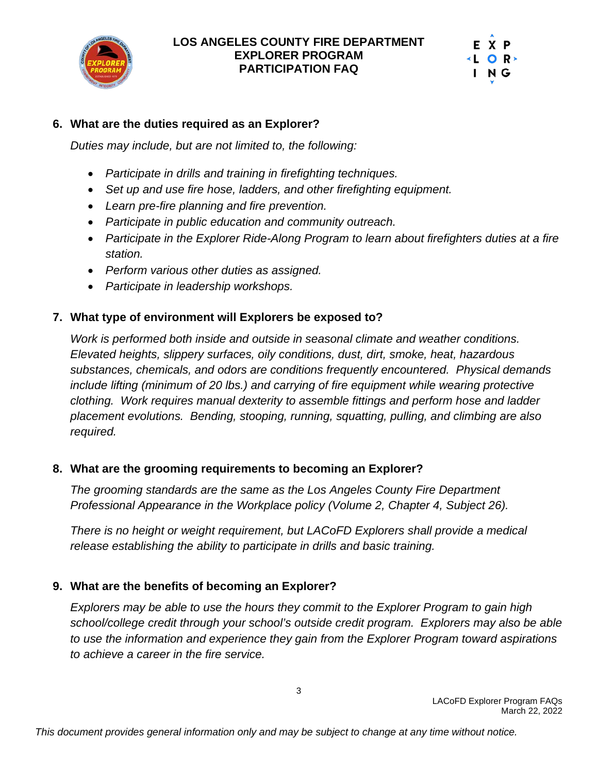



### **6. What are the duties required as an Explorer?**

*Duties may include, but are not limited to, the following:*

- *Participate in drills and training in firefighting techniques.*
- *Set up and use fire hose, ladders, and other firefighting equipment.*
- *Learn pre-fire planning and fire prevention.*
- *Participate in public education and community outreach.*
- *Participate in the Explorer Ride-Along Program to learn about firefighters duties at a fire station.*
- *Perform various other duties as assigned.*
- *Participate in leadership workshops.*

#### **7. What type of environment will Explorers be exposed to?**

*Work is performed both inside and outside in seasonal climate and weather conditions. Elevated heights, slippery surfaces, oily conditions, dust, dirt, smoke, heat, hazardous substances, chemicals, and odors are conditions frequently encountered. Physical demands include lifting (minimum of 20 lbs.) and carrying of fire equipment while wearing protective clothing. Work requires manual dexterity to assemble fittings and perform hose and ladder placement evolutions. Bending, stooping, running, squatting, pulling, and climbing are also required.*

#### **8. What are the grooming requirements to becoming an Explorer?**

*The grooming standards are the same as the Los Angeles County Fire Department Professional Appearance in the Workplace policy (Volume 2, Chapter 4, Subject 26).*

*There is no height or weight requirement, but LACoFD Explorers shall provide a medical release establishing the ability to participate in drills and basic training.*

## **9. What are the benefits of becoming an Explorer?**

*Explorers may be able to use the hours they commit to the Explorer Program to gain high school/college credit through your school's outside credit program. Explorers may also be able to use the information and experience they gain from the Explorer Program toward aspirations to achieve a career in the fire service.*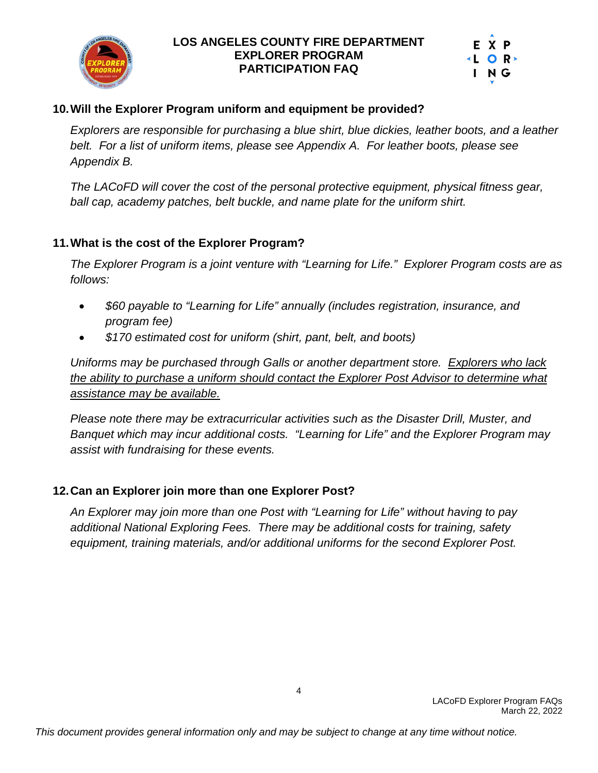



### **10.Will the Explorer Program uniform and equipment be provided?**

*Explorers are responsible for purchasing a blue shirt, blue dickies, leather boots, and a leather belt. For a list of uniform items, please see Appendix A. For leather boots, please see Appendix B.* 

*The LACoFD will cover the cost of the personal protective equipment, physical fitness gear, ball cap, academy patches, belt buckle, and name plate for the uniform shirt.*

#### **11.What is the cost of the Explorer Program?**

*The Explorer Program is a joint venture with "Learning for Life." Explorer Program costs are as follows:*

- *\$60 payable to "Learning for Life" annually (includes registration, insurance, and program fee)*
- *\$170 estimated cost for uniform (shirt, pant, belt, and boots)*

*Uniforms may be purchased through Galls or another department store. Explorers who lack the ability to purchase a uniform should contact the Explorer Post Advisor to determine what assistance may be available.* 

*Please note there may be extracurricular activities such as the Disaster Drill, Muster, and Banquet which may incur additional costs. "Learning for Life" and the Explorer Program may assist with fundraising for these events.*

## **12.Can an Explorer join more than one Explorer Post?**

*An Explorer may join more than one Post with "Learning for Life" without having to pay additional National Exploring Fees. There may be additional costs for training, safety equipment, training materials, and/or additional uniforms for the second Explorer Post.*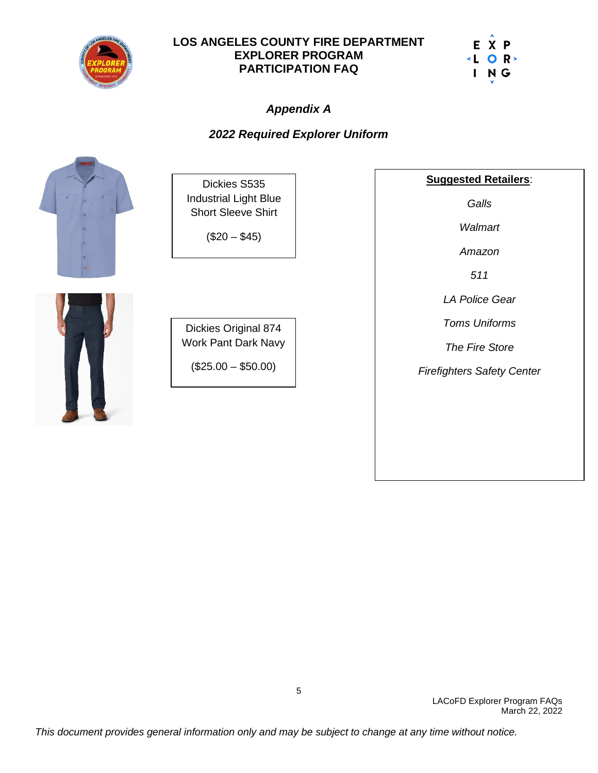



# *Appendix A*

## *2022 Required Explorer Uniform*



Dickies S535 Industrial Light Blue Short Sleeve Shirt

 $($20 - $45)$ 



Dickies Original 874 Work Pant Dark Navy

 $($25.00 - $50.00)$ 

**Suggested Retailers**:

*Galls*

*Walmart*

*Amazon*

*511*

*LA Police Gear*

*Toms Uniforms*

*The Fire Store*

*Firefighters Safety Center*

LACoFD Explorer Program FAQs March 22, 2022